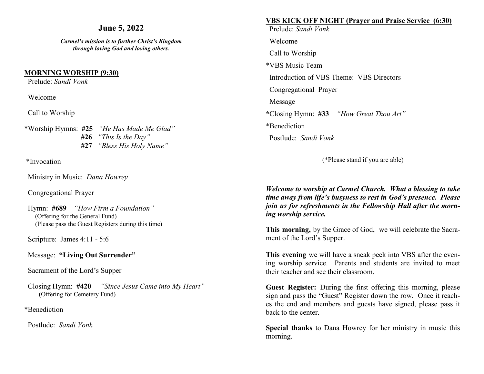# **June 5, 2022**

*Carmel's mission is to further Christ's Kingdom through loving God and loving others.*

#### **MORNING WORSHIP (9:30)**

Prelude: *Sandi Vonk* 

Welcome

Call to Worship

\*Worship Hymns: **#25** *"He Has Made Me Glad"* **#26** *"This Is the Day"* **#27** *"Bless His Holy Name"*

\*Invocation

Ministry in Music: *Dana Howrey*

Congregational Prayer

 Hymn: **#689** *"How Firm a Foundation"* (Offering for the General Fund) (Please pass the Guest Registers during this time)

Scripture: James 4:11 - 5:6

Message: **"Living Out Surrender"**

Sacrament of the Lord's Supper

Closing Hymn: **#420** *"Since Jesus Came into My Heart"* (Offering for Cemetery Fund)

\*Benediction

Postlude: *Sandi Vonk* 

# **VBS KICK OFF NIGHT (Prayer and Praise Service (6:30)**

 Prelude: *Sandi Vonk* Welcome Call to Worship \*VBS Music Team Introduction of VBS Theme: VBS Directors Congregational Prayer Message **\***Closing Hymn: **#33** *"How Great Thou Art"*  \*Benediction Postlude: *Sandi Vonk* 

(\*Please stand if you are able)

*Welcome to worship at Carmel Church. What a blessing to take time away from life's busyness to rest in God's presence. Please join us for refreshments in the Fellowship Hall after the morning worship service.*

**This morning,** by the Grace of God, we will celebrate the Sacrament of the Lord's Supper.

**This evening** we will have a sneak peek into VBS after the evening worship service. Parents and students are invited to meet their teacher and see their classroom.

**Guest Register:** During the first offering this morning, please sign and pass the "Guest" Register down the row. Once it reaches the end and members and guests have signed, please pass it back to the center.

**Special thanks** to Dana Howrey for her ministry in music this morning.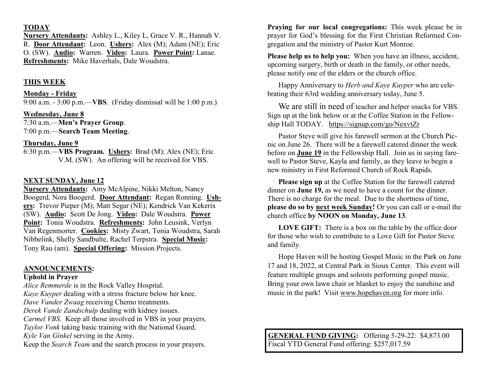# **TODAY**

**Nursery Attendants:** Ashley L., Kiley L, Grace V. R., Hannah V. R. **Door Attendant:** Leon. **Ushers:** Alex (M); Adam (NE); Eric O. (SW). **Audio:** Warren. **Video:** Laura. **Power Point:** Lanae. **Refreshments:** Mike Haverhals, Dale Woudstra.

# **THIS WEEK**

## **Monday - Friday**

9:00 a.m. - 3:00 p.m.—**VBS**. (Friday dismissal will be 1:00 p.m.)

# **Wednesday, June 8**

7:30 a.m.—**Men's Prayer Group**. 7:00 p.m.—**Search Team Meeting**.

# **Thursday, June 9**

6:30 p.m.—**VBS Program. Ushers:** Brad (M); Alex (NE); Eric V.M. (SW). An offering will be received for VBS.

# **NEXT SUNDAY, June 12**

**Nursery Attendants:** Amy McAlpine, Nikki Melton, Nancy Boogerd, Nora Boogerd. **Door Attendant:** Regan Ronning. **Ushers:** Trevor Pieper (M); Matt Segar (NE); Kendrick Van Kekerix (SW). **Audio:** Scott De Jong. **Video:** Dale Woudstra. **Power Point:** Tonia Woudstra. **Refreshments:** John Leusink, Verlyn Van Regenmorter. **Cookies:** Misty Zwart, Tonia Woudstra, Sarah Nibbelink, Shelly Sandbulte, Rachel Terpstra. **Special Music:** Tony Rau (am). **Special Offering:** Mission Projects.

## **ANNOUNCEMENTS:**

# **Uphold in Prayer**

*Alice Remmerde* is in the Rock Valley Hospital. *Kaye Kuyper* dealing with a stress fracture below her knee. *Dave Vander Zwaag* receiving Chemo treatments. *Derek Vande Zandschulp* dealing with kidney issues. *Carmel VBS*. Keep all those involved in VBS in your prayers. *Taylor Vonk* taking basic training with the National Guard. *Kyle Van Ginkel* serving in the Army. Keep the *Search Team* and the search process in your prayers.

**Praying for our local congregations:** This week please be in prayer for God's blessing for the First Christian Reformed Congregation and the ministry of Pastor Kurt Monroe.

**Please help us to help you:** When you have an illness, accident, upcoming surgery, birth or death in the family, or other needs, please notify one of the elders or the church office.

Happy Anniversary to *Herb and Kaye Kuyper* who are celebrating their 63rd wedding anniversary today, June 5.

We are still in need of teacher and helper snacks for VBS. Sign up at the link below or at the Coffee Station in the Fellowship Hall TODAY. <https://signup.com/go/NexvtZr>

Pastor Steve will give his farewell sermon at the Church Picnic on June 26. There will be a farewell catered dinner the week before on **June 19** in the Fellowship Hall. Join us in saying farewell to Pastor Steve, Kayla and family, as they leave to begin a new ministry in First Reformed Church of Rock Rapids.

**Please sign up** at the Coffee Station for the farewell catered dinner on **June 19,** as we need to have a count for the dinner. There is no charge for the meal. Due to the shortness of time, **please do so by next week Sunday!** Or you can call or e-mail the church office **by NOON on Monday, June 13**.

**LOVE GIFT:** There is a box on the table by the office door for those who wish to contribute to a Love Gift for Pastor Steve and family.

Hope Haven will be hosting Gospel Music in the Park on June 17 and 18, 2022, at Central Park in Sioux Center. This event will feature multiple groups and soloists performing gospel music. Bring your own lawn chair or blanket to enjoy the sunshine and music in the park! Visit [www.hopehaven.org](http://www.hopehaven.org) for more info.

**GENERAL FUND GIVING:** Offering 5-29-22: \$4,873.00 Fiscal YTD General Fund offering: \$257,017.59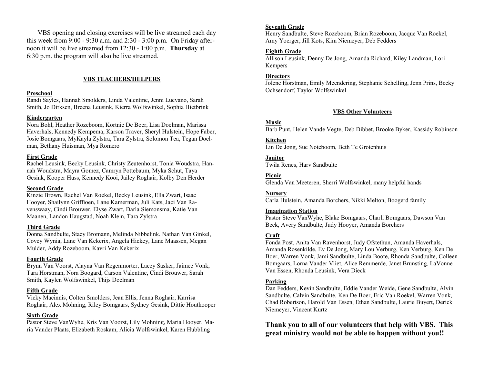VBS opening and closing exercises will be live streamed each day this week from 9:00 - 9:30 a.m. and 2:30 - 3:00 p.m. On Friday afternoon it will be live streamed from 12:30 - 1:00 p.m. **Thursday** at 6:30 p.m. the program will also be live streamed.

#### **VBS TEACHERS/HELPERS**

#### **Preschool**

Randi Sayles, Hannah Smolders, Linda Valentine, Jenni Luevano, Sarah Smith, Jo Dirksen, Breena Leusink, Kierra Wolfswinkel, Sophia Hietbrink

#### **Kindergarten**

Nora Bohl, Heather Rozeboom, Kortnie De Boer, Lisa Doelman, Marissa Haverhals, Kennedy Kempema, Karson Traver, Sheryl Hulstein, Hope Faber, Josie Bomgaars, MyKayla Zylstra, Tara Zylstra, Solomon Tea, Tegan Doelman, Bethany Huisman, Mya Romero

#### **First Grade**

Rachel Leusink, Becky Leusink, Christy Zeutenhorst, Tonia Woudstra, Hannah Woudstra, Mayra Gomez, Camryn Pottebaum, Myka Schut, Taya Gesink, Kooper Huss, Kennedy Kooi, Jailey Roghair, Kolby Den Herder

#### **Second Grade**

Kinzie Brown, Rachel Van Roekel, Becky Leusink, Ella Zwart, Isaac Hooyer, Shailynn Griffioen, Lane Kamerman, Juli Kats, Jaci Van Ravenswaay, Cindi Brouwer, Elyse Zwart, Darla Siemonsma, Katie Van Maanen, Landon Haugstad, Noah Klein, Tara Zylstra

#### **Third Grade**

Donna Sandbulte, Stacy Bromann, Melinda Nibbelink, Nathan Van Ginkel, Covey Wynia, Lane Van Kekerix, Angela Hickey, Lane Maassen, Megan Mulder, Addy Rozeboom, Kavri Van Kekerix

#### **Fourth Grade**

Brynn Van Voorst, Alayna Van Regenmorter, Lacey Sasker, Jaimee Vonk, Tara Horstman, Nora Boogard, Carson Valentine, Cindi Brouwer, Sarah Smith, Kaylen Wolfswinkel, Thijs Doelman

#### **Fifth Grade**

Vicky Macinnis, Colten Smolders, Jean Ellis, Jenna Roghair, Karrisa Roghair, Alex Mohning, Riley Bomgaars, Sydney Gesink, Dittie Houtkooper

#### **Sixth Grade**

Pastor Steve VanWyhe, Kris Van Voorst, Lily Mohning, Maria Hooyer, Maria Vander Plaats, Elizabeth Roskam, Alicia Wolfswinkel, Karen Hubbling

#### **Seventh Grade**

Henry Sandbulte, Steve Rozeboom, Brian Rozeboom, Jacque Van Roekel, Amy Yoerger, Jill Kots, Kim Niemeyer, Deb Fedders

#### **Eighth Grade**

Allison Leusink, Denny De Jong, Amanda Richard, Kiley Landman, Lori Kempers

#### **Directors**

Jolene Horstman, Emily Meendering, Stephanie Schelling, Jenn Prins, Becky Ochsendorf, Taylor Wolfswinkel

#### **VBS Other Volunteers**

#### **Music**

Barb Punt, Helen Vande Vegte, Deb Dibbet, Brooke Byker, Kassidy Robinson

#### **Kitchen**

Lin De Jong, Sue Noteboom, Beth Te Grotenhuis

#### **Janitor**

Twila Renes, Harv Sandbulte

#### **Picnic**

Glenda Van Meeteren, Sherri Wolfswinkel, many helpful hands

#### **Nursery**

Carla Hulstein, Amanda Borchers, Nikki Melton, Boogerd family

#### **Imagination Station**

Pastor Steve VanWyhe, Blake Bomgaars, Charli Bomgaars, Dawson Van Beek, Avery Sandbulte, Judy Hooyer, Amanda Borchers

#### **Craft**

Fonda Post, Anita Van Ravenhorst, Judy Ofstethun, Amanda Haverhals, Amanda Rosenkilde, Ev De Jong, Mary Lou Verburg, Ken Verburg, Ken De Boer, Warren Vonk, Jami Sandbulte, Linda Boote, Rhonda Sandbulte, Colleen Bomgaars, Lorna Vander Vliet, Alice Remmerde, Janet Brunsting, LaVonne Van Essen, Rhonda Leusink, Vera Dieck

#### **Parking**

Dan Fedders, Kevin Sandbulte, Eddie Vander Weide, Gene Sandbulte, Alvin Sandbulte, Calvin Sandbulte, Ken De Boer, Eric Van Roekel, Warren Vonk, Chad Robertson, Harold Van Essen, Ethan Sandbulte, Laurie Buyert, Derick Niemeyer, Vincent Kurtz

# **Thank you to all of our volunteers that help with VBS. This great ministry would not be able to happen without you!!**